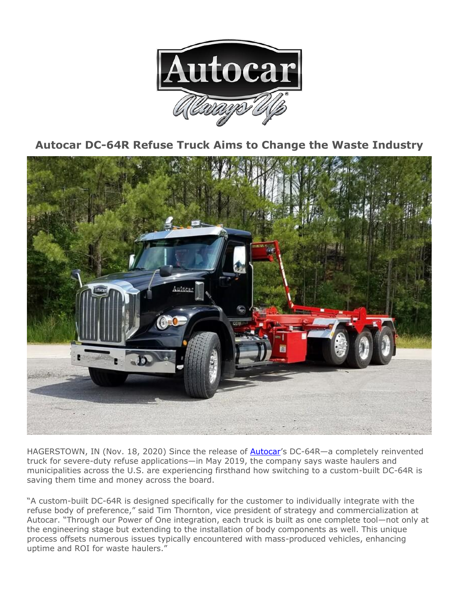

**Autocar DC-64R Refuse Truck Aims to Change the Waste Industry**



HAGERSTOWN, IN (Nov. 18, 2020) Since the release of **[Autocar](https://www.autocartruck.com/)**'s DC-64R-a completely reinvented truck for severe-duty refuse applications—in May 2019, the company says waste haulers and municipalities across the U.S. are experiencing firsthand how switching to a custom-built DC-64R is saving them time and money across the board.

"A custom-built DC-64R is designed specifically for the customer to individually integrate with the refuse body of preference," said Tim Thornton, vice president of strategy and commercialization at Autocar. "Through our Power of One integration, each truck is built as one complete tool—not only at the engineering stage but extending to the installation of body components as well. This unique process offsets numerous issues typically encountered with mass-produced vehicles, enhancing uptime and ROI for waste haulers."